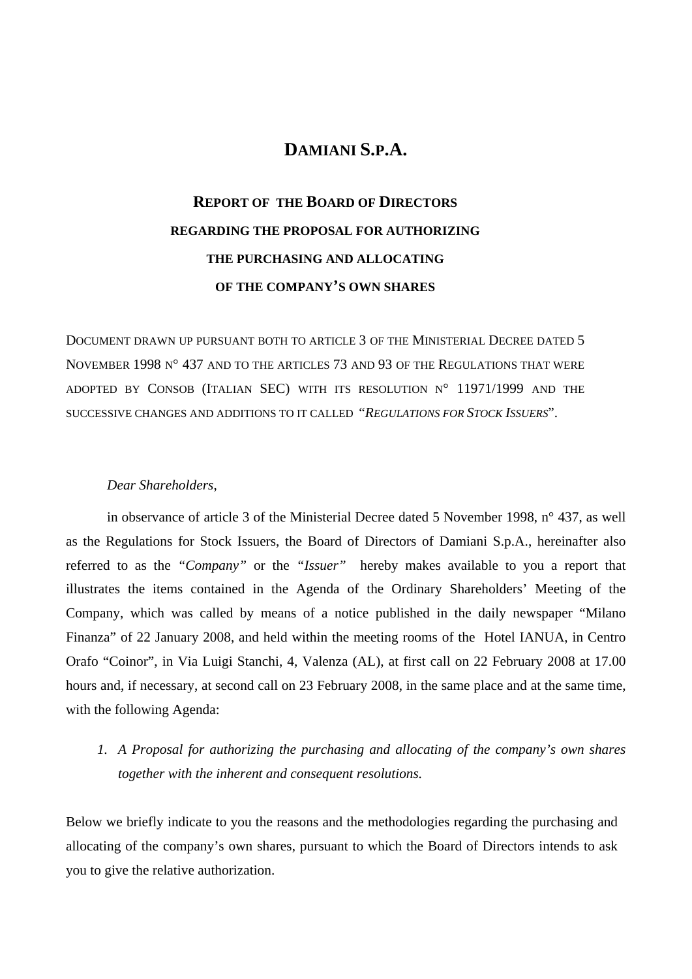### **DAMIANI S.P.A.**

# **REPORT OF THE BOARD OF DIRECTORS REGARDING THE PROPOSAL FOR AUTHORIZING THE PURCHASING AND ALLOCATING OF THE COMPANY'S OWN SHARES**

DOCUMENT DRAWN UP PURSUANT BOTH TO ARTICLE 3 OF THE MINISTERIAL DECREE DATED 5 NOVEMBER 1998 N° 437 AND TO THE ARTICLES 73 AND 93 OF THE REGULATIONS THAT WERE ADOPTED BY CONSOB (ITALIAN SEC) WITH ITS RESOLUTION N° 11971/1999 AND THE SUCCESSIVE CHANGES AND ADDITIONS TO IT CALLED "*REGULATIONS FOR STOCK ISSUERS*".

#### *Dear Shareholders*,

in observance of article 3 of the Ministerial Decree dated 5 November 1998, n° 437, as well as the Regulations for Stock Issuers, the Board of Directors of Damiani S.p.A., hereinafter also referred to as the *"Company"* or the *"Issuer"* hereby makes available to you a report that illustrates the items contained in the Agenda of the Ordinary Shareholders' Meeting of the Company, which was called by means of a notice published in the daily newspaper "Milano Finanza" of 22 January 2008, and held within the meeting rooms of the Hotel IANUA, in Centro Orafo "Coinor", in Via Luigi Stanchi, 4, Valenza (AL), at first call on 22 February 2008 at 17.00 hours and, if necessary, at second call on 23 February 2008, in the same place and at the same time, with the following Agenda:

*1. A Proposal for authorizing the purchasing and allocating of the company's own shares together with the inherent and consequent resolutions.* 

Below we briefly indicate to you the reasons and the methodologies regarding the purchasing and allocating of the company's own shares, pursuant to which the Board of Directors intends to ask you to give the relative authorization.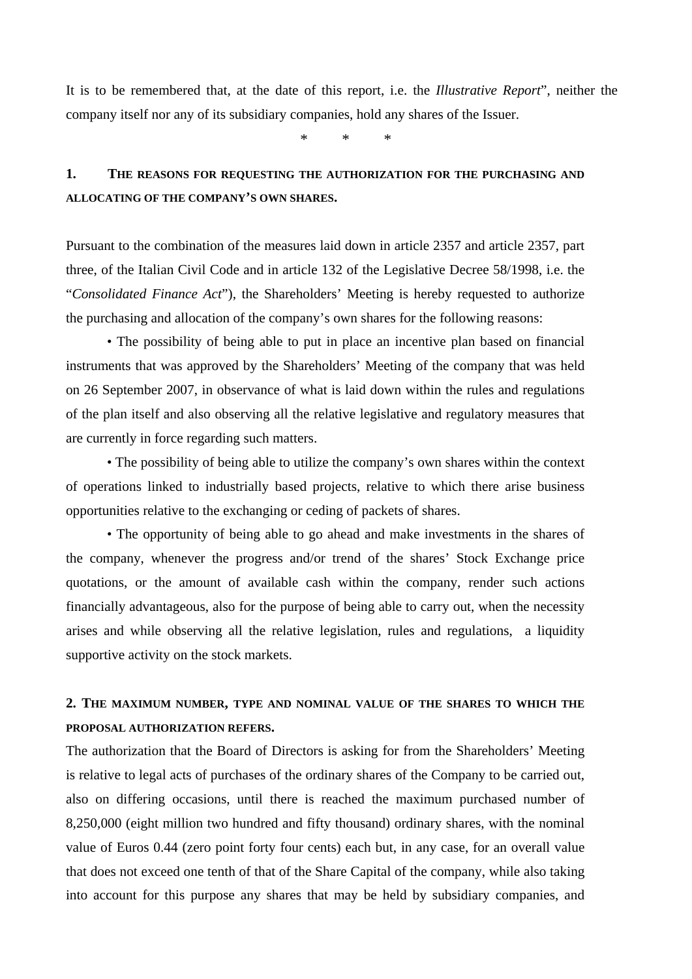It is to be remembered that, at the date of this report, i.e. the *Illustrative Report*", neither the company itself nor any of its subsidiary companies, hold any shares of the Issuer.

\* \* \*

# **1. THE REASONS FOR REQUESTING THE AUTHORIZATION FOR THE PURCHASING AND ALLOCATING OF THE COMPANY'S OWN SHARES.**

Pursuant to the combination of the measures laid down in article 2357 and article 2357, part three, of the Italian Civil Code and in article 132 of the Legislative Decree 58/1998, i.e. the "*Consolidated Finance Act*"), the Shareholders' Meeting is hereby requested to authorize the purchasing and allocation of the company's own shares for the following reasons:

• The possibility of being able to put in place an incentive plan based on financial instruments that was approved by the Shareholders' Meeting of the company that was held on 26 September 2007, in observance of what is laid down within the rules and regulations of the plan itself and also observing all the relative legislative and regulatory measures that are currently in force regarding such matters.

• The possibility of being able to utilize the company's own shares within the context of operations linked to industrially based projects, relative to which there arise business opportunities relative to the exchanging or ceding of packets of shares.

• The opportunity of being able to go ahead and make investments in the shares of the company, whenever the progress and/or trend of the shares' Stock Exchange price quotations, or the amount of available cash within the company, render such actions financially advantageous, also for the purpose of being able to carry out, when the necessity arises and while observing all the relative legislation, rules and regulations, a liquidity supportive activity on the stock markets.

### **2. THE MAXIMUM NUMBER, TYPE AND NOMINAL VALUE OF THE SHARES TO WHICH THE PROPOSAL AUTHORIZATION REFERS.**

The authorization that the Board of Directors is asking for from the Shareholders' Meeting is relative to legal acts of purchases of the ordinary shares of the Company to be carried out, also on differing occasions, until there is reached the maximum purchased number of 8,250,000 (eight million two hundred and fifty thousand) ordinary shares, with the nominal value of Euros 0.44 (zero point forty four cents) each but, in any case, for an overall value that does not exceed one tenth of that of the Share Capital of the company, while also taking into account for this purpose any shares that may be held by subsidiary companies, and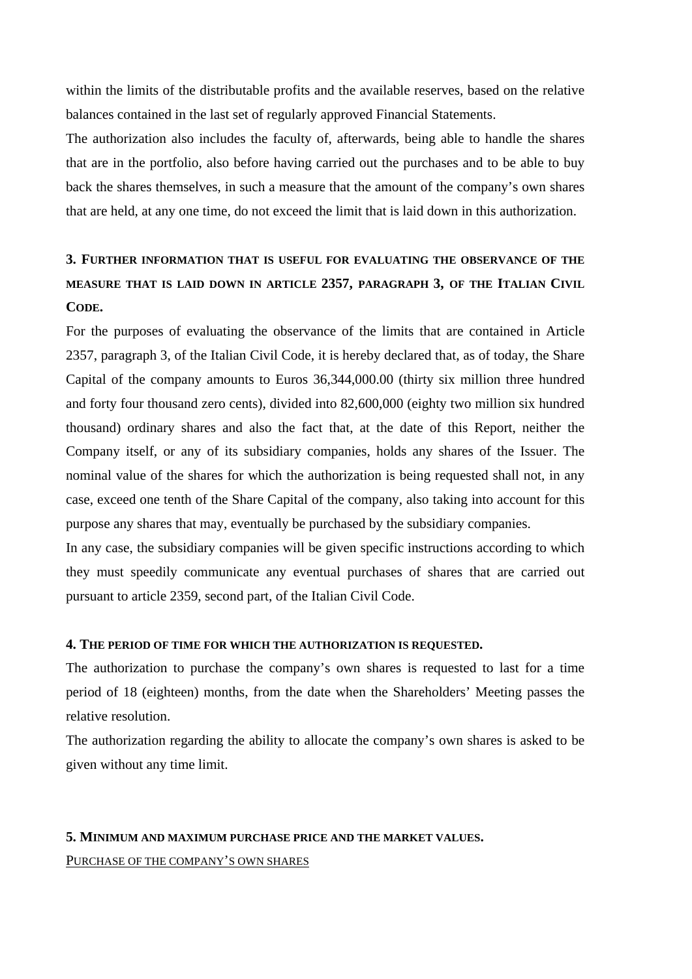within the limits of the distributable profits and the available reserves, based on the relative balances contained in the last set of regularly approved Financial Statements.

The authorization also includes the faculty of, afterwards, being able to handle the shares that are in the portfolio, also before having carried out the purchases and to be able to buy back the shares themselves, in such a measure that the amount of the company's own shares that are held, at any one time, do not exceed the limit that is laid down in this authorization.

# **3. FURTHER INFORMATION THAT IS USEFUL FOR EVALUATING THE OBSERVANCE OF THE MEASURE THAT IS LAID DOWN IN ARTICLE 2357, PARAGRAPH 3, OF THE ITALIAN CIVIL CODE.**

For the purposes of evaluating the observance of the limits that are contained in Article 2357, paragraph 3, of the Italian Civil Code, it is hereby declared that, as of today, the Share Capital of the company amounts to Euros 36,344,000.00 (thirty six million three hundred and forty four thousand zero cents), divided into 82,600,000 (eighty two million six hundred thousand) ordinary shares and also the fact that, at the date of this Report, neither the Company itself, or any of its subsidiary companies, holds any shares of the Issuer. The nominal value of the shares for which the authorization is being requested shall not, in any case, exceed one tenth of the Share Capital of the company, also taking into account for this purpose any shares that may, eventually be purchased by the subsidiary companies.

In any case, the subsidiary companies will be given specific instructions according to which they must speedily communicate any eventual purchases of shares that are carried out pursuant to article 2359, second part, of the Italian Civil Code.

### **4. THE PERIOD OF TIME FOR WHICH THE AUTHORIZATION IS REQUESTED.**

The authorization to purchase the company's own shares is requested to last for a time period of 18 (eighteen) months, from the date when the Shareholders' Meeting passes the relative resolution.

The authorization regarding the ability to allocate the company's own shares is asked to be given without any time limit.

### **5. MINIMUM AND MAXIMUM PURCHASE PRICE AND THE MARKET VALUES.**

PURCHASE OF THE COMPANY'S OWN SHARES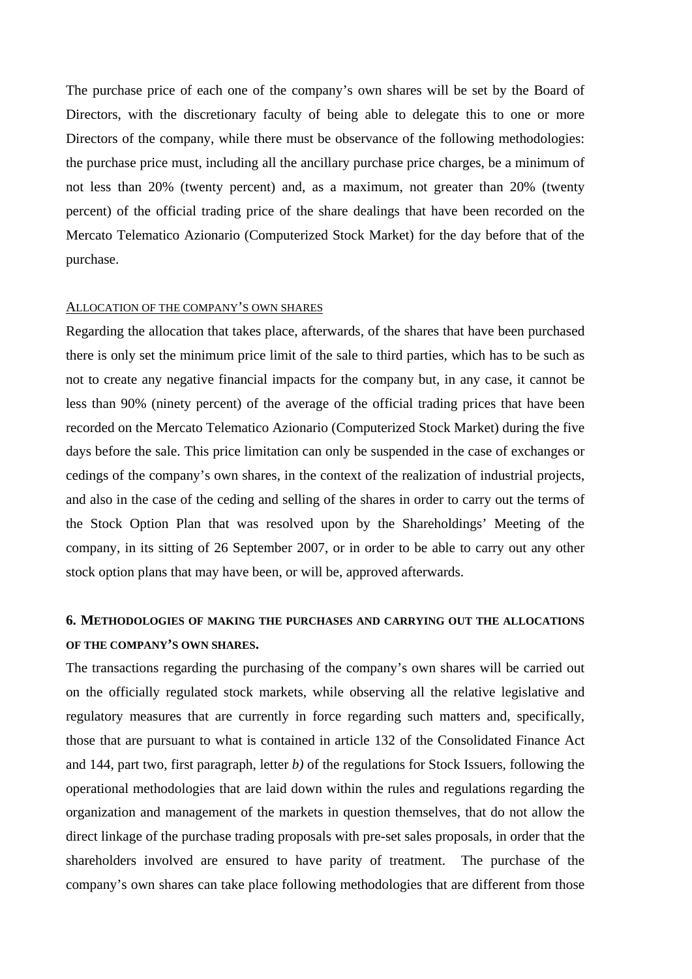The purchase price of each one of the company's own shares will be set by the Board of Directors, with the discretionary faculty of being able to delegate this to one or more Directors of the company, while there must be observance of the following methodologies: the purchase price must, including all the ancillary purchase price charges, be a minimum of not less than 20% (twenty percent) and, as a maximum, not greater than 20% (twenty percent) of the official trading price of the share dealings that have been recorded on the Mercato Telematico Azionario (Computerized Stock Market) for the day before that of the purchase.

### ALLOCATION OF THE COMPANY'S OWN SHARES

Regarding the allocation that takes place, afterwards, of the shares that have been purchased there is only set the minimum price limit of the sale to third parties, which has to be such as not to create any negative financial impacts for the company but, in any case, it cannot be less than 90% (ninety percent) of the average of the official trading prices that have been recorded on the Mercato Telematico Azionario (Computerized Stock Market) during the five days before the sale. This price limitation can only be suspended in the case of exchanges or cedings of the company's own shares, in the context of the realization of industrial projects, and also in the case of the ceding and selling of the shares in order to carry out the terms of the Stock Option Plan that was resolved upon by the Shareholdings' Meeting of the company, in its sitting of 26 September 2007, or in order to be able to carry out any other stock option plans that may have been, or will be, approved afterwards.

### **6. METHODOLOGIES OF MAKING THE PURCHASES AND CARRYING OUT THE ALLOCATIONS OF THE COMPANY'S OWN SHARES.**

The transactions regarding the purchasing of the company's own shares will be carried out on the officially regulated stock markets, while observing all the relative legislative and regulatory measures that are currently in force regarding such matters and, specifically, those that are pursuant to what is contained in article 132 of the Consolidated Finance Act and 144, part two, first paragraph, letter *b)* of the regulations for Stock Issuers, following the operational methodologies that are laid down within the rules and regulations regarding the organization and management of the markets in question themselves, that do not allow the direct linkage of the purchase trading proposals with pre-set sales proposals, in order that the shareholders involved are ensured to have parity of treatment. The purchase of the company's own shares can take place following methodologies that are different from those